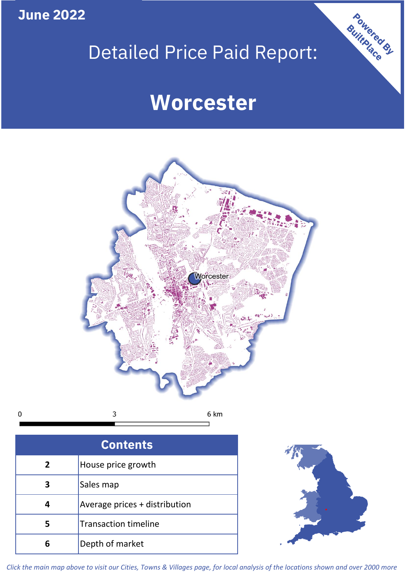**June 2022**

# Detailed Price Paid Report:

# **Worcester**



 $\mathbf 0$ 3

| <b>Contents</b> |                               |  |  |
|-----------------|-------------------------------|--|--|
| $\overline{2}$  | House price growth            |  |  |
| 3               | Sales map                     |  |  |
| 4               | Average prices + distribution |  |  |
| 5               | <b>Transaction timeline</b>   |  |  |
|                 | Depth of market               |  |  |



Powered By

*Click the main map above to visit our Cities, Towns & Villages page, for local analysis of the locations shown and over 2000 more*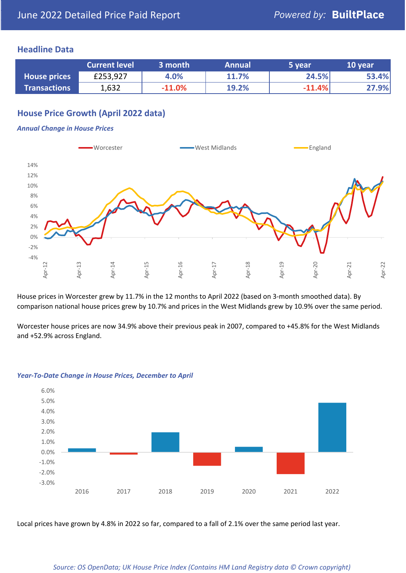#### **Headline Data**

|                     | <b>Current level</b> | 3 month  | <b>Annual</b> | 5 year   | 10 year |
|---------------------|----------------------|----------|---------------|----------|---------|
| <b>House prices</b> | £253,927             | 4.0%     | 11.7%         | 24.5%    | 53.4%   |
| <b>Transactions</b> | 1,632                | $-11.0%$ | 19.2%         | $-11.4%$ | 27.9%   |

# **House Price Growth (April 2022 data)**

#### *Annual Change in House Prices*



House prices in Worcester grew by 11.7% in the 12 months to April 2022 (based on 3-month smoothed data). By comparison national house prices grew by 10.7% and prices in the West Midlands grew by 10.9% over the same period.

Worcester house prices are now 34.9% above their previous peak in 2007, compared to +45.8% for the West Midlands and +52.9% across England.



#### *Year-To-Date Change in House Prices, December to April*

Local prices have grown by 4.8% in 2022 so far, compared to a fall of 2.1% over the same period last year.

#### *Source: OS OpenData; UK House Price Index (Contains HM Land Registry data © Crown copyright)*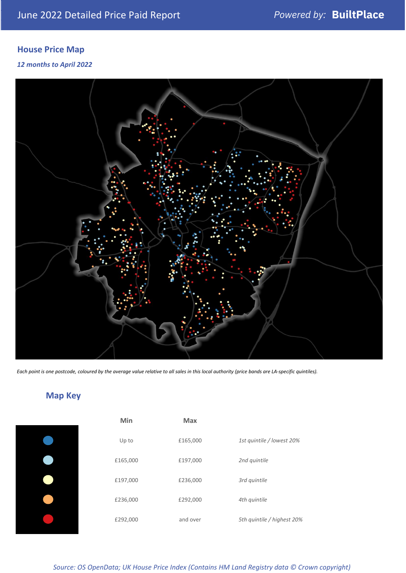# **House Price Map**

#### *12 months to April 2022*



*Each point is one postcode, coloured by the average value relative to all sales in this local authority (price bands are LA-specific quintiles).*

# **Map Key**

### *Source: OS OpenData; UK House Price Index (Contains HM Land Registry data © Crown copyright)*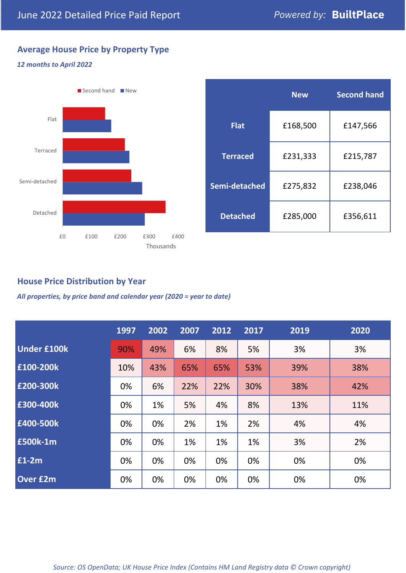# **Average House Price by Property Type**

#### *12 months to April 2022*



|                 | <b>New</b> | <b>Second hand</b> |  |  |
|-----------------|------------|--------------------|--|--|
| <b>Flat</b>     | £168,500   | £147,566           |  |  |
| <b>Terraced</b> | £231,333   | £215,787           |  |  |
| Semi-detached   | £275,832   | £238,046           |  |  |
| <b>Detached</b> | £285,000   | £356,611           |  |  |

## **House Price Distribution by Year**

*All properties, by price band and calendar year (2020 = year to date)*

|                    | 1997 | 2002 | 2007 | 2012 | 2017 | 2019 | 2020 |
|--------------------|------|------|------|------|------|------|------|
| <b>Under £100k</b> | 90%  | 49%  | 6%   | 8%   | 5%   | 3%   | 3%   |
| £100-200k          | 10%  | 43%  | 65%  | 65%  | 53%  | 39%  | 38%  |
| £200-300k          | 0%   | 6%   | 22%  | 22%  | 30%  | 38%  | 42%  |
| £300-400k          | 0%   | 1%   | 5%   | 4%   | 8%   | 13%  | 11%  |
| £400-500k          | 0%   | 0%   | 2%   | 1%   | 2%   | 4%   | 4%   |
| <b>£500k-1m</b>    | 0%   | 0%   | 1%   | 1%   | 1%   | 3%   | 2%   |
| £1-2m              | 0%   | 0%   | 0%   | 0%   | 0%   | 0%   | 0%   |
| <b>Over £2m</b>    | 0%   | 0%   | 0%   | 0%   | 0%   | 0%   | 0%   |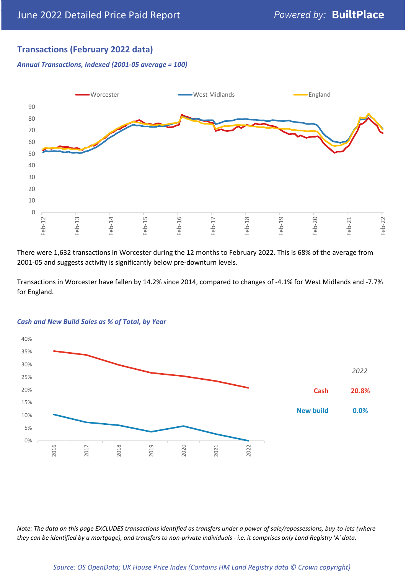# **Transactions (February 2022 data)**

*Annual Transactions, Indexed (2001-05 average = 100)*



There were 1,632 transactions in Worcester during the 12 months to February 2022. This is 68% of the average from 2001-05 and suggests activity is significantly below pre-downturn levels.

Transactions in Worcester have fallen by 14.2% since 2014, compared to changes of -4.1% for West Midlands and -7.7% for England.



#### *Cash and New Build Sales as % of Total, by Year*

*Note: The data on this page EXCLUDES transactions identified as transfers under a power of sale/repossessions, buy-to-lets (where they can be identified by a mortgage), and transfers to non-private individuals - i.e. it comprises only Land Registry 'A' data.*